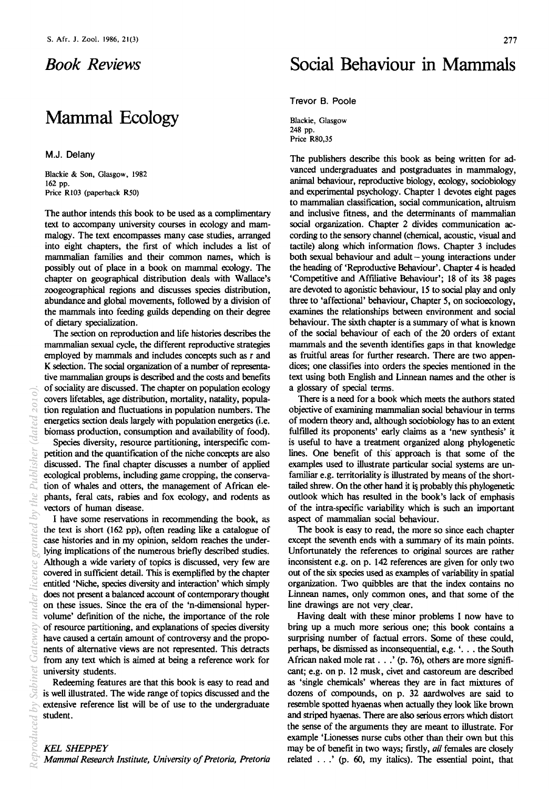### *Book Reviews*

### **Mammal Ecology**

M.J. Delany

Blackie & Son, Glasgow, 1982 162 pp. Price RI03 (paperback R50)

The author intends this book to be used as a complimentary text to accompany university courses in ecology and mammalogy. The text encompasses many case studies, arranged into eight chapters, the fIrst of which includes a list of mammalian families and their common names, which is possibly out of place in a book on mammal ecology. The chapter on geographical distribution deals with Wallace's zoogeographical regions and discusses species distribution, abundance and global movements, followed by a division of the mammals into feeding guilds depending on their degree of dietary specialization.

The section on reproduction and life histories describes the mammalian sexual cycle, the different reproductive strategies employed by mammals and includes concepts such as r and K selection. The social organization of a number of representative mammalian groups is described and the costs and benefits of sociality are discussed. The chapter on population ecology covers lifetableS, age distribution, mortality, natality, population regulation and fluctuations in population numbers. The energetics section deals largely with population energetics (i.e. biomass production, consumption and availability of food).

Species diversity, resource partitioning, interspecific competition and the quantification of the niche concepts are also discussed. The fmal chapter discusses a number of applied ecological problems, including game cropping, the conservation of whales and otters, the management of African elephants, feral cats, rabies and fox ecology, and rodents as vectors of human disease.

I have some reservations in recommending the book, as the text is short (162 pp), often reading like a catalogue of case histories and in my opinion, seldom reaches the underlying implications of the numerous briefly described studies. Although a wide variety of topics is discussed, very few are covered in sufficient detail. This is exemplified by the chapter entitled 'Niche, species diversity and interaction' which simply does not present a balanced account of contemporary thought on these issues. Since the era of the 'n-dimensional hypervolume' definition of the niche, the importance of the role of resource partitioning, and explanations of species diversity have caused a certain amount of controversy and the proponents of alternative views are not represented. This detracts from any text which is aimed at being a reference work for university students.

Redeeming features are that this book is easy to read and is well illustrated. The wide range of topics discussed and the extensive reference list will be of use to the undergraduate student.

#### *KEL SHEPPEY Mammal Research Institute, University of Pretoria, Pretoria*

### **Social Behaviour in Mammals**

Trevor B. Poole

Blackie, Glasgow 248 pp. Price R80,35

The publishers describe this book as being written for advanced undergraduates and postgraduates in mammalogy, animal behaviour, reproductive biology, ecology, sociobiology and experimental psychology. Chapter 1 devotes eight pages to mammalian classification, social communication, altruism and inclusive fitness, and the determinants of mammalian social organization. Chapter 2 divides communication according to the sensory channel (chemical, acoustic, visual and tactile) along which information flows. Chapter 3 includes both sexual behaviour and adult - young interactions under the heading of 'Reproductive Behaviour'. Chapter 4 is headed 'Competitive and Affiliative Behaviour'; 18 of its 38 pages are devoted to agonistic behaviour, 15 to social play and only three to 'affectional' behaviour, Chapter 5, on socioecology, examines the relationships between environment and social behaviour. The sixth chapter is a summary of what is known of the social behaviour of each of the 20 orders of extant mammals and the seventh identifies gaps in that knowledge as fruitful areas for further research. There are two appendices; one classifies into orders the species mentioned in the text using both English and Linnean names and the other is a glossary of special terms.

There is a need for a book which meets the authors stated objective of examining mammalian social behaviour in terms of modem theory and, although sociobiology has to an extent fulfilled its proponents' early claims as a 'new synthesis' it is useful to have a treatment organized along phylogenetic lines. One benefit of this' approach is that some of the examples used to ilJustrate particular social systems are unfamiliar e.g. territoriality is illustrated by means of the shorttailed shrew. On the other hand it is probably this phylogenetic outlook which has resulted in the book's lack of emphasis of the intra-specific variability which is such an important aspect of mammalian social behaviour.

The book is easy to read, the more so since each chapter except the seventh ends with a summary of its main points. Unfortunately the references to original sources are rather inconsistent e.g. on p. 142 references are given for only two out of the six species used as examples of variability in spatial organization. Two quibbles are that the index contains no Linnean names, only common ones, and that some of the line drawings are not very clear.

Having dealt with these minor problems I now have to bring up a much more serious one; this book contains a surprising number of factual errors. Some of these could, perhaps, be dismissed as inconsequential, e.g. '. . . the South African naked mole rat. . .' (p. 76), others are more significant; e.g. on p. 12 musk, civet and castoreum are described as 'single chemicals' whereas they are in fact mixtures of dozens of compounds, on p. 32 aardwolves are said to resemble spotted hyaenas when actually they look like brown and striped hyaenas. There are also serious errors which distort the sense of the arguments they are meant to illustrate. For example 'Lionesses nurse cubs other than their own but this may be of benefit in two ways; firstly, *all* females are closely related .. .' (p. 60, my italics). The essential point, that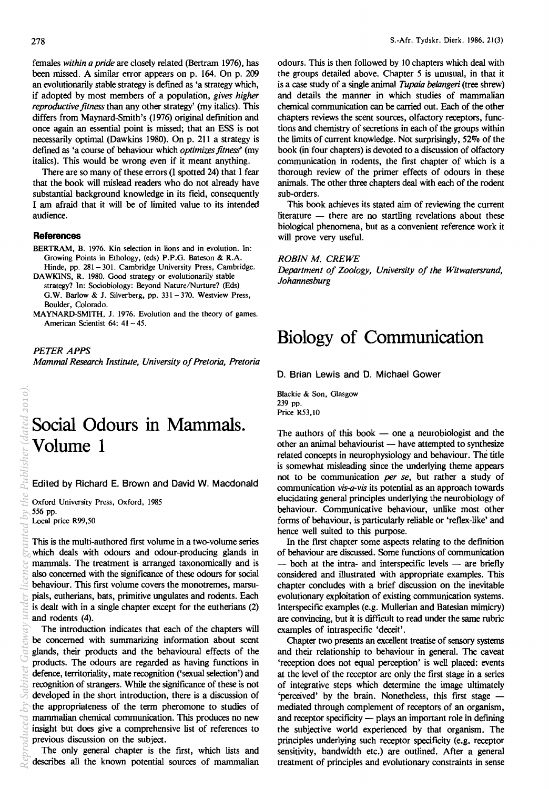females *within a pride* are closely related (Bertram 1976), has been missed. A similar error appears on p. 164. On p. 209 an evolutionarily stable strategy is defmed as 'a strategy which, if adopted by most members of a population, *gives higher reproductive fitness* than any other strategy' (my italics). This differs from Maynard-Smith's (1976) original definition and once again an essential point is missed; that an ESS is not necessarily optimal (Dawkins 1980). On p. 211 a strategy is defmed as 'a course of behaviour which *optimizes fitness'* (my italics). This would be wrong even if it meant anything.

There are so many of these errors (I spotted 24) that I fear that the book will mislead readers who do not already have substantial background knowledge in its field, consequently I am afraid that it will be of limited value to its intended audience.

#### **References**

- BERTRAM, B. 1976. Kin selection in lions and in evolution. In: Growing Points in Ethology, (eds) P.P.G. Bateson & R.A. Hinde, pp. 281 - 301. Cambridge University Press, Cambridge.
- DAWKINS, R. 1980. Good strategy or evolutionarily stable strategy? In: Sociobiology: Beyond Nature/Nurture? (Eds) G.W. Barlow & J. Silverberg, pp. 331-370. Westview Press, Boulder, Colorado.
- MAYNARD-SMITH. J. 1976. Evolution and the theory of games. American Scientist 64: 41 - 45.

*PETER APPS* 

*Mammal Research Institute, University of Pretoria, Pretoria* 

# **Social Odours in Mammals. Volume 1**

Edited by Richard E. Brown and David W. Macdonald

Oxford University Press, Oxford, 1985 556 pp. Local price R99,50

This is the multi-authored first volume in a two-volume series which deals with odours and odour-producing glands in mammals. The treatment is arranged taxonomically and is also concerned with the significance of these odours for social behaviour. This first volume covers the monotremes, marsupials, eutherians, bats, primitive ungulates and rodents. Each is dealt with in a single chapter except for the eutherians (2) and rodents (4).

The introduction indicates that each of the chapters will be concerned with summarizing information about scent glands, their products and the behavioural effects of the products. The odours are regarded as having functions in defence, territoriality, mate recognition ('sexual selection') and recognition of strangers. While the significance of these is not developed in the short introduction, there is a discussion of the appropriateness of the term pheromone to studies of mammalian chemical communication. This produces no new insight but does give a comprehensive list of references to previous discussion on the subject.

The only general chapter is the first, which lists and describes all the known potential sources of mammalian

odours. This is then followed by 10 chapters which deal with the groups detailed above. Chapter 5 is unusual, in that it is a case study of a single animal *Tupaia belangeri* (tree shrew) and details the manner in which studies of mammalian chemical communication can be carried out. Each of the other chapters reviews the scent sources, olfactory receptors, functions and chemistry of secretions in each of the groups within the limits of current knowledge. Not surprisingly, 52% of the book (in four chapters) is devoted to a discussion of olfactory communication in rodents, the first chapter of which is a thorough review of the primer effects of odours in these animals. The other three chapters deal with each of the rodent sub-orders.

This book achieves its stated aim of reviewing the current literature  $-$  there are no startling revelations about these biological phenomena, but as a convenient reference work it will prove very useful.

*ROBIN M. CREWE* 

*Department of Zoology, University of the Witwatersrand, Johannesburg* 

## **Biology of Communication**

D. Brian Lewis and D. Michael Gower

Blackie & Son, Glasgow 239 pp. Price R53,10

The authors of this book  $-$  one a neurobiologist and the other an animal behaviourist  $-$  have attempted to synthesize related concepts in neurophysiology and behaviour. The title is somewhat misleading since the underlying theme appears not to be communication *per se,* but rather a study of communication *vis-a-vis* its potential as an approach towards elucidating general principles underlying the neurobiology of behaviour. Communicative behaviour, unlike most other forms of behaviour, is particularly reliable or 'reflex-like' and hence well suited to this purpose.

In the first chapter some aspects relating to the definition of behaviour are discussed. Some functions of communication both at the intra- and interspecific levels  $-$  are briefly considered and illustrated with appropriate examples. This chapter concludes with a brief discussion on the inevitable evolutionary exploitation of existing communication systems. Interspecific examples (e.g. Mullerian and Batesian mimicry) are convincing, but it is difficult to read under the same rubric examples of intraspecific 'deceit'.

Chapter two presents an excellent treatise of sensory systems and their relationship to behaviour in general. The caveat 'reception does not equal perception' is well placed: events at the level of the receptor are only the first stage in a series of integrative steps which determine the image ultimately 'perceived' by the brain. Nonetheless, this first stage mediated through complement of receptors of an organism, and receptor specificity  $-$  plays an important role in defining the SUbjective world experienced by that organism. The principles underlying such receptor specificity (e.g. receptor sensitivity, bandwidth etc.) are outlined. After a general treatment of principles and evolutionary constraints in sense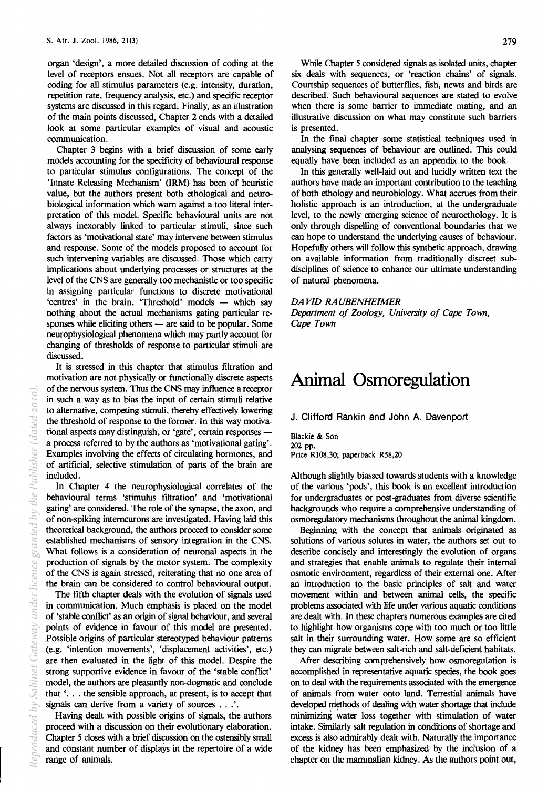organ 'design', a more detailed discussion of coding at the level of receptors ensues. Not all receptors are capable of coding for all stimulus parameters (e.g. intensity, duration, repetition rate, frequency analysis, etc.) and specific receptor systems are discussed in this regard. Finally, as an illustration of the main points discussed, Chapter 2 ends with a detailed look at some particular examples of visual and acoustic communication.

Chapter 3 begins with a brief discussion of some early models accounting for the specificity of behavioural response to particular stimulus configurations. The concept of the 'Innate Releasing Mechanism' (lRM) has been of heuristic value, but the authors present both ethological and neurobiological information which warn against a too literal interpretation of this model. Specific behavioural units are not always inexorably linked to particular stimuli, since such factors as 'motivational state' may intervene between stimulus and response. Some of the models proposed to account for such intervening variables are discussed. Those which carry implications about underlying processes or structures at the level of the CNS are generally too mechanistic or too specific in assigning particular functions to discrete motivational 'centres' in the brain. 'Threshold' models - which say nothing about the actual mechanisms gating particular responses while eliciting others - are said to be popular. Some neurophysiological phenomena which may partly account for changing of thresholds of response to particular stimuli are discussed.

It is stressed in this chapter that stimulus filtration and motivation are not physically or functionally discrete aspects of the nervous system. Thus the CNS may influence a receptor in such a way as to bias the input of certain stimuli relative to alternative, competing stimuli, thereby effectively lowering the threshold of response to the former. In this way motivational aspects may distinguish, or 'gate', certain responses a process referred to by the authors as 'motivational gating'. Examples involving the effects of circulating hormones, and of artificial, selective stimulation of parts of the brain are included.

In Chapter 4 the neurophysiological correlates of the behavioural terms 'stimulus filtration' and 'motivational gating' are considered. The role of the synapse, the axon, and of non-spiking interneurons are investigated. Having laid this theoretical background, the authors proceed to consider some established mechanisms of sensory integration in the CNS. What follows is a consideration of neuronal aspects in the production of signals by the motor system. The complexity of the CNS is again stressed, reiterating that no one area of the brain can be considered to control behavioural output.

The fifth chapter deals with the evolution of signals used in communication. Much emphasis is placed on the model of 'stable conflict' as an origin of signal behaviour, and several points of evidence in favour of this model are presented. Possible origins of particular stereotyped behaviour patterns (e.g. 'intention movements', 'displacement activities', etc.) are then evaluated in the light of this model. Despite the strong supportive evidence in favour of the 'stable conflict' model, the authors are pleasantly non-dogmatic and conclude that '. . . the sensible approach, at present, is to accept that signals can derive from a variety of sources . . .'.

Having dealt with possible origins of signals, the authors proceed with a discussion on their evolutionary elaboration. Chapter 5 closes with a brief discussion on the ostensibly small and constant number of displays in the repertoire of a wide range of animals.

In the final chapter some statistical techniques used in analysing sequences of behaviour are outlined. This could equally have been included as an appendix to the book.

In this generally well-laid out and lucidly written text the authors have made an important contribution to the teaching of both ethology and neurobiology. What accrues from their holistic approach is an introduction, at the undergraduate level, to the newly emerging science of neuroethology. It is only through dispelling of conventional boundaries that we can hope to understand the underlying causes of behaviour. Hopefully others will follow this synthetic approach, drawing on available information from traditionally discreet subdisciplines of science to enhance our ultimate understanding of natural phenomena.

#### *DA VID RAUBENHEIMER*

*Department of Zoology, University of Cape Town, Cape Town* 

### Animal **Osmoregulation**

#### J. Clifford Rankin and John A. Davenport

Blackie & Son 202 pp. Price R108,30; paperback R58,20

Although slightly biassed towards students with a knowledge of the various 'pods', this book is an excellent introduction for undergraduates or post-graduates from diverse scientific backgrounds who require a comprehensive understanding of osmoregulatory mechanisms throughout the animal kingdom.

Beginning with the concept that animals originated as solutions of various solutes in water, the authors set out to describe concisely and interestingly the evolution of organs and strategies that enable animals to regulate their internal osmotic environment, regardless of their external one. After an introduction to the basic principles of salt and water movement within and between animal cells, the specific problems associated with life under various aquatic conditions are dealt with. In these chapters numerous examples are cited to highlight how organisms cope with too much or too little salt in their surrounding water. How some are so efficient they can migrate between salt-rich and salt-deficient habitats.

After describing comprehensively how osmoregulation is accomplished in representative aquatic species, the book goes on to deal with the requirements associated with the emergence of animals from water onto land. Terrestial animals have developed methods of dealing with water shortage that include minimizing water loss together with stimulation of water intake. Similarly salt regulation in conditions of shortage and excess is also admirably dealt with. Naturally the importance of the kidney has been emphasized by the inclusion of a chapter on the mammalian kidney. As the authors point out,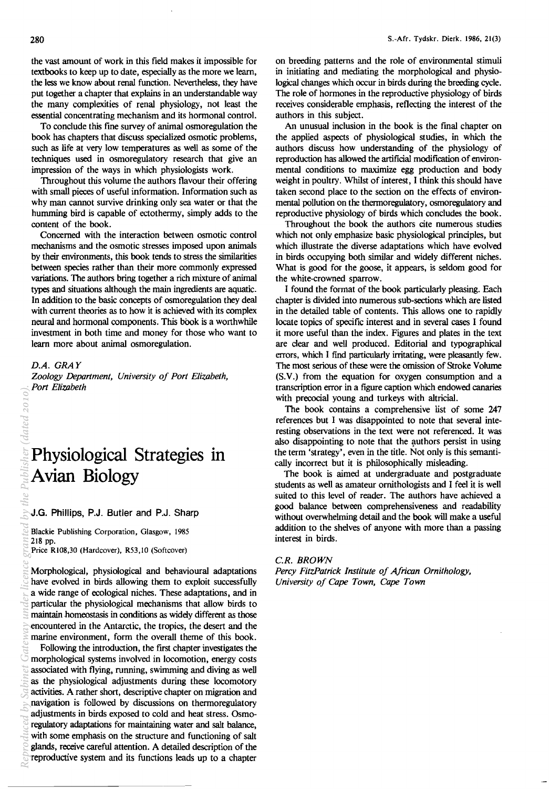the vast amount of work in this field makes it impossible for textbooks to keep up to date, especially as the more we learn, the less we know about renal function. Nevertheless, they have put together a chapter that explains in an understandable way the many complexities of renal physiology, not least the essential concentrating mechanism and its hormonal control.

To conclude this fine survey of animal osmoregulation the book has chapters that discuss specialized osmotic problems, such as life at very low temperatures as well as some of the techniques used in osmoregulatory research that give an impression of the ways in which physiologists work.

Throughout this volume the authors flavour their offering with small pieces of useful information. Information such as why man cannot survive drinking only sea water or that the humming bird is capable of ectothermy, simply adds to the content of the book.

Concerned with the interaction between osmotic control mechanisms and the osmotic stresses imposed upon animals by their environments, this book tends to stress the similarities between species rather than their more commonly expressed variations. The authors bring together a rich mixture of animal types and situations although the main ingredients are aquatic. In addition to the basic concepts of osmoregulation they deal with current theories as to how it is achieved with its complex neural and hormonal components. This book is a worthwhile investment in both time and money for those who want to learn more about animal osmoregulation.

#### *D.A. GRAY*

*Zoology Department, University of Port Elizabeth, Port Elizabeth* 

### **Physiological Strategies Avian Biology**  .<br>in **In**

#### J.G. Phillips, P.J. Butler and P.J. Sharp

Blackie Publishing Corporation, Glasgow, 1985 218 pp.

Price RI08,30 (Hardcover), R53,IO (Softcover)

Morphological, physiological and behavioural adaptations have evolved in birds allowing them to exploit successfully a wide range of ecological niches. These adaptations, and in particular the physiological mechanisms that allow birds to maintain homeostasis in conditions as widely different as those encountered in the Antarctic, the tropics, the desert and the marine environment, form the overall theme of this book.

Following the introduction, the first chapter investigates the morphological systems involved in locomotion, energy costs associated with flying, running, swimming and diving as well as the physiological adjustments during these locomotory activities. A rather short, descriptive chapter on migration and navigation is followed by discussions on thermoregulatory adjustments in birds exposed to cold and heat stress. Osmoregulatory adaptations for maintaining water and salt balance, with some emphasis on the structure and functioning of salt glands, receive careful attention. A detailed description of the reproductive system and its functions leads up to a chapter *Reproduced by Sabinet Gateway under licence granted by the Publisher (dated 2010).*

on breeding patterns and the role of environmental stimuli in initiating and mediating the morphological and physiological changes which occur in birds during the breeding cycle. The role of hormones in the reproductive physiology of birds receives considerable emphasis, reflecting the interest of the authors in this subject.

An unusual inclusion in the book is the fmal chapter on the applied aspects of physiological studies, in which the authors discuss how understanding of the physiology of reproduction has allowed the artificial modification of environmental conditions to maximize egg production and body weight in poultry. Whilst of interest, I think this should have taken second place to the section on the effects of environmental pollution on the thermoregulatory, osmoregulatory and reproductive physiology of birds which concludes the book.

Throughout the book the authors cite numerous studies which not only emphasize basic physiological principles, but which illustrate the diverse adaptations which have evolved in birds occupying both similar and widely different niches. What is good for the goose, it appears, is seldom good for the white-crowned sparrow.

I found the format of the book particularly pleasing. Each chapter is divided into numerous sub-sections which are listed in the detailed table of contents. This allows one to rapidly locate topics of specific interest and in several cases I found it more useful than the index. Figures and plates in the text are clear and well produced. Editorial and typographical errors, which I find particularly irritating, were pleasantly few. The most serious of these were the omission of Stroke Volume (S.V.) from the equation for oxygen consumption and a transcription error in a figure caption which endowed canaries with precocial young and turkeys with altricial.

The book contains a comprehensive list of some 247 references but I was disappointed to note that several interesting observations in the text were not referenced. It was also disappointing to note that the authors persist in using the term 'strategy', even in the title. Not only is this semantically incorrect but it is philosophically misleading.

The book is aimed at undergraduate and postgraduate students as well as amateur ornithologists and I feel it is well suited to this level of reader. The authors have achieved a good balance between comprehensiveness and readability without overwhelming detail and the book will make a useful addition to the shelves of anyone with more than a passing interest in birds.

#### *C.R. BROWN*

*Percy FitzPatrick Institute of African Ornithology, University of Cape Town, Cape Town*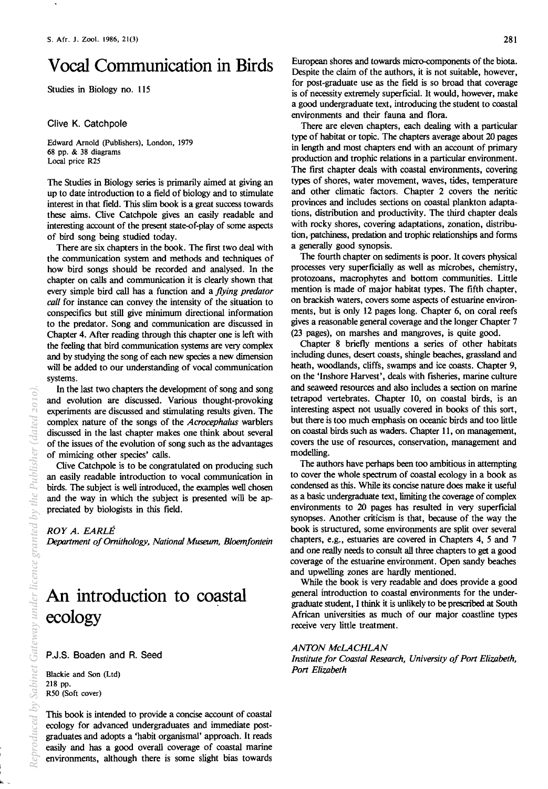## **Vocal Communication in Birds**

Studies in Biology no. 115

Clive K. Catchpole

Edward Arnold (Publishers), London, 1979 68 pp. & 38 diagrams Local price R25

The Studies in Biology series is primarily aimed at giving an up to date introduction to a field of biology and to stimulate interest in that field. This slim book is a great success towards these aims. Clive Catchpole gives an easily readable and interesting account of the present state-of-play of some aspects of bird song being studied today.

There are six chapters in the book. The first two deal with the communication system and methods and techniques of how bird songs should be recorded and analysed. In the chapter on calls and communication it is clearly shown that every simple bird call has a function and a *flying predator call* for instance can convey the intensity of the situation to conspecifics but still give minimum directional information to the predator. Song and communication are discussed in Chapter 4. After reading through this chapter one is left with the feeling that bird communication systems are very complex and by studying the song of each new species a new dimension will be added to our understanding of vocal communication systems.

In the last two chapters the development of song and song and evolution are discussed. Various thought-provoking experiments are discussed and stimulating results given. The complex nature of the songs of the *Acrocephalus* warblers discussed in the last chapter makes one think about several of the issues of the evolution of song such as the advantages of mimicing other species' calls.

Clive Catchpole is to be congratulated on producing such an easily readable introduction to vocal communication in birds. The subject is well introduced, the examples well chosen and the way in which the subject is presented will be appreciated by biologists in this field.

*ROY A. EARLE Department of Ornithology, National Museum, Bloemfontein* 

# **An introduction to coastal ecology**

P.J.S. Boaden and R. Seed

Blackie and Son (Ltd) 218 pp. R50 (Soft cover)

This book is intended to provide a concise account of coastal ecology for advanced undergraduates and immediate postgraduates and adopts a 'habit organismal' approach. It reads easily and has a good overall coverage of coastal marine environments, although there is some slight bias towards European shores and towards micro-components of the biota. Despite the claim of the authors, it is not suitable, however, for post-graduate use as the field is so broad that coverage is of necessity extremely superficial. It would, however, make a good undergraduate text, introducing the student to coastal environments and their fauna and flora.

There are eleven chapters, each dealing with a particular type of habitat or topic. The chapters average about 20 pages in length and most chapters end with an account of primary production and trophic relations in a particular environment. The first chapter deals with coastal environments, covering types of shores, water movement, waves, tides, temperature and other climatic factors. Chapter 2 covers the neritic provinces and includes sections on coastal plankton adaptations, distribution and productivity. The third chapter deals with rocky shores, covering adaptations, zonation, distribution, patchiness, predation and trophic relationships and forms a generally good synopsis.

The fourth chapter on sediments is poor. It covers physical processes very superficially as well as microbes, chemistry, protozoans, macrophytes and bottom communities. Little mention is made of major habitat types. The fifth chapter, on brackish waters, covers some aspects of estuarine environments, but is only 12 pages long. Chapter 6, on coral reefs gives a reasonable general coverage and the longer Chapter 7 (23 pages), on marshes and mangroves, is quite good.

Chapter 8 briefly mentions a series of other habitats including dunes, desert coasts, shingle beaches, grassland and heath, woodlands, cliffs, swamps and ice coasts. Chapter 9, on the 'Inshore Harvest', deals with fisheries, marine culture and seaweed resources and also includes a section on marine tetrapod vertebrates. Chapter 10, on coastal birds, is an interesting aspect not usually covered in books of this sort, but there is too much emphasis on oceanic birds and too little on coastal birds such as waders. Chapter 11, on management, covers the use of resources, conservation, management and modelling.

The authors have perhaps been too ambitious in attempting to cover the whole spectrum of coastal ecology in a book as condensed as this. While its concise nature does make it useful as a basic undergraduate text, limiting the coverage of complex environments to 20 pages has resulted in very superficial synopses. Another criticism is that, because of the way the book is structured, some environments are split over several chapters, e.g., estuaries are covered in Chapters 4, 5 and 7 and one really needs to consult all three chapters to get a good coverage of the estuarine environment. Open sandy beaches and upwelling zones are hardly mentioned.

While the book is very readable and does provide a good general introduction to coastal environments for the undergraduate student, I think it is unlikely to be prescribed at South African universities as much of our major coastline types receive very little treatment.

#### *ANTON McLACHLAN*

*Institute for Coastal Research, University of Port Elizabeth, Port Elizabeth*